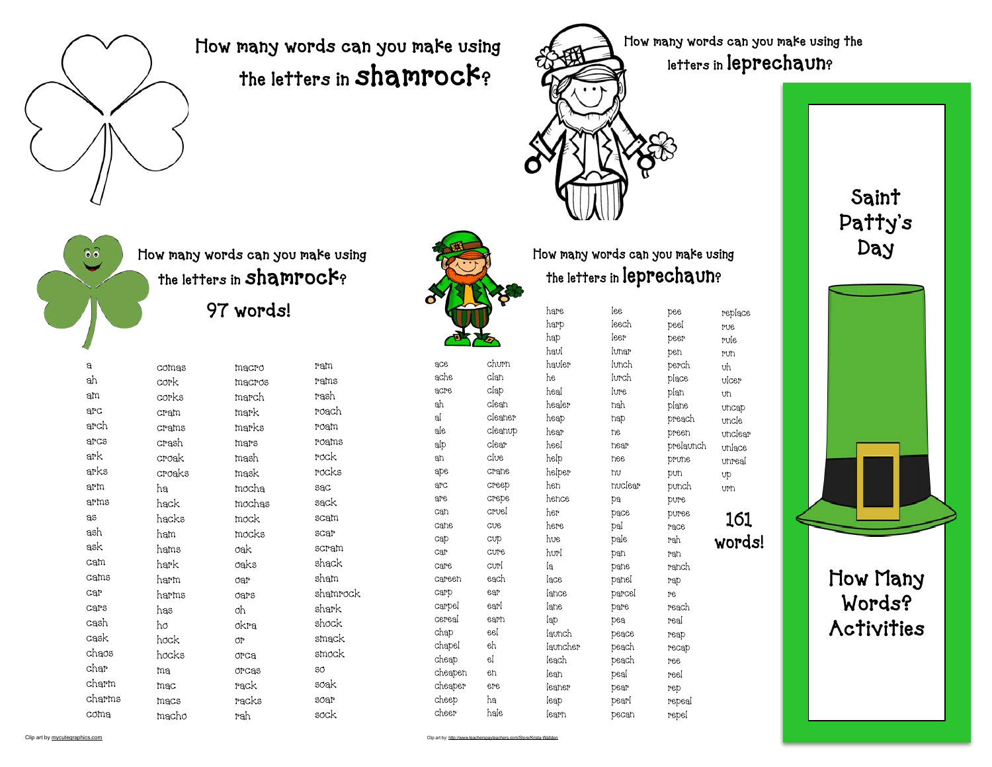

## How many words can you make using the letters in shamrock?



How many words can you make using the letters in leprechaun?



churn clan clap clean cleaner cleanup clear clue crane creep crepe cruel cue cup cure curl each ear earl earn eel eh el en ere ha hale

ace ache acre ah al ale alp an ape arc are can cane cap car care careen carp carpel cereal chap chapel cheap cheapen cheaper cheep cheer

How many words can you make using the letters in leprechaun?

| hare         | lee     | pee       | replace         |
|--------------|---------|-----------|-----------------|
| harp         | leech   | peel      | PU <sub>e</sub> |
| hap          | leer    | peer      | rule            |
| haul         | Iunar   | pen       | <b>run</b>      |
| hauler       | lunch   | perch     | υh              |
| he.          | lurch   | place     | vicer           |
| heal         | lure.   | plan      | Uh              |
| healer       | nah     | plane     | uncap           |
| heap         | nap     | preach    | uncle           |
| hear         | ne.     | preen     | unclear         |
| heel         | near    | prelaunch | unlace          |
| help         | nee     | prune     | unreal          |
| helper       | hu      | pun       | Up              |
| hen          | nuclear | punch     | urn             |
| hence        | pa      | pure      |                 |
| her          | pace    | puree     |                 |
| here         | pal     | race      | 161             |
| hve          | pale    | rah       | words!          |
| hurl         | pan     | rah       |                 |
| Iа           | pane    | ranch     |                 |
| lace         | panel   | rap       |                 |
| lance        | parcel  | Pe.       |                 |
| <b>l</b> ane | pare    | reach     |                 |
| lap          | pea     | real      |                 |
| launch       | peace   | reap      |                 |
| launcher     | peach   | recap     |                 |
| leach        | peach   | ree       |                 |
| lean         | peal    | reel      |                 |
| leaner       | pear    | rep       |                 |
| leap         | pearl   | repeal    |                 |
| learn        | pecan   | repel     |                 |

Saint Patty's Day

> How Many Words? **Activities**



How many words can you make using the letters in shamrock?

97 words!

| a      | comas  | macro          | ram      |
|--------|--------|----------------|----------|
| ah     | cork   | macros         | rams     |
| am     | corks  | march          | rash     |
| arc    | cram   | mark           | roach    |
| arch   | crams  | marks          | roam     |
| arcs   | crash  | mars           | roams    |
| ark    | croak  | mash           | rock     |
| arks   | croaks | mask           | rocks    |
| arm    | ha     | mocha          | sac      |
| arms   | hack   | mochas         | sack     |
| as     | hacks  | mock           | scam     |
| ash    | ham    | mocks          | scar     |
| ask    | hams   | oak            | scram    |
| cam    | hark   | oaks           | shack    |
| cams   | harm   | dar            | sham     |
| car    | harms  | oars           | shamrock |
| cars   | has    | oh             | shark    |
| cash   | ho     | okra           | shock    |
| cask   | hock   | <b>OP</b>      | smack    |
| chaos  | hocks  | O <sub>2</sub> | smock    |
| char   | ma     | orcas          | SO       |
| charm  | mac    | rack           | soak     |
| charms | macs   | racks          | soar     |
| coma   | macho  | rah            | sock     |
|        |        |                |          |

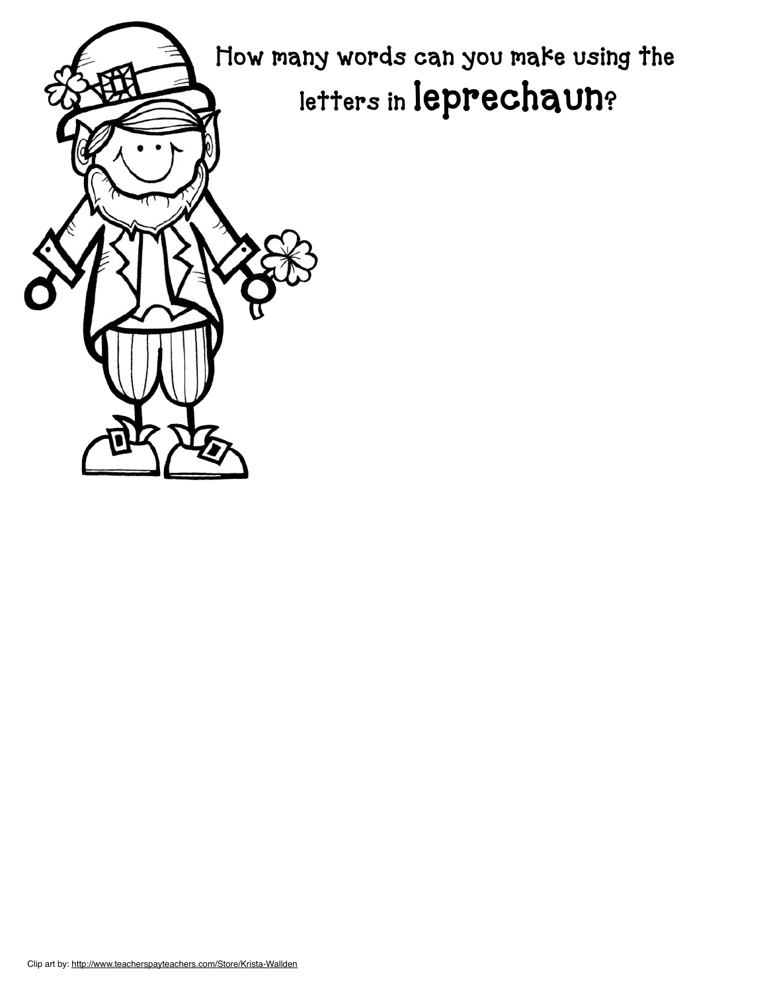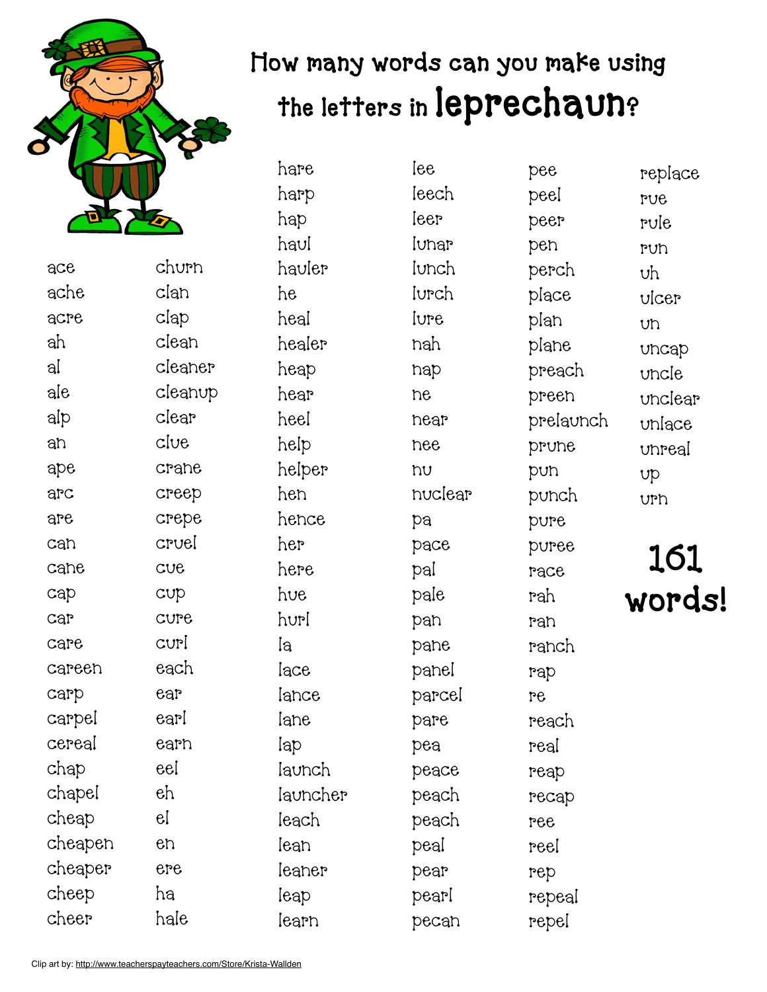

## How many words can you make using the letters in leprechaun?

ace ache acre ah al ale alp an ape arc are can cane cap car care careen carp carpel cereal chap chapel cheap cheapen cheaper cheep cheer churn clan clap clean cleaner cleanup clear clue. crane creep crepe cruel cue cup cure curl each ear earl earn eel eh el en ere ha hale

hare harp hap haul hauler he heal healer heap hear heel help helper hen hence her here hue hurl la lace lance lane lap launch launcher leach lean leaner leap learn

lee leech leer lunar lunch lurch lure nah nap ne near nee nu nuclear pa pace pal pale pan pane panel parcel pare pea peace peach peach peal pear pearl pecan

pee peel peer pen perch place plan plane preach preen prelaunch prune pun punch pure puree race rah ran ranch rap re reach real reap recap ree reel rep repeal repel

replace rue rule run uh ulcer un uncap uncle unclear unlace unreal up urn

## 161 words!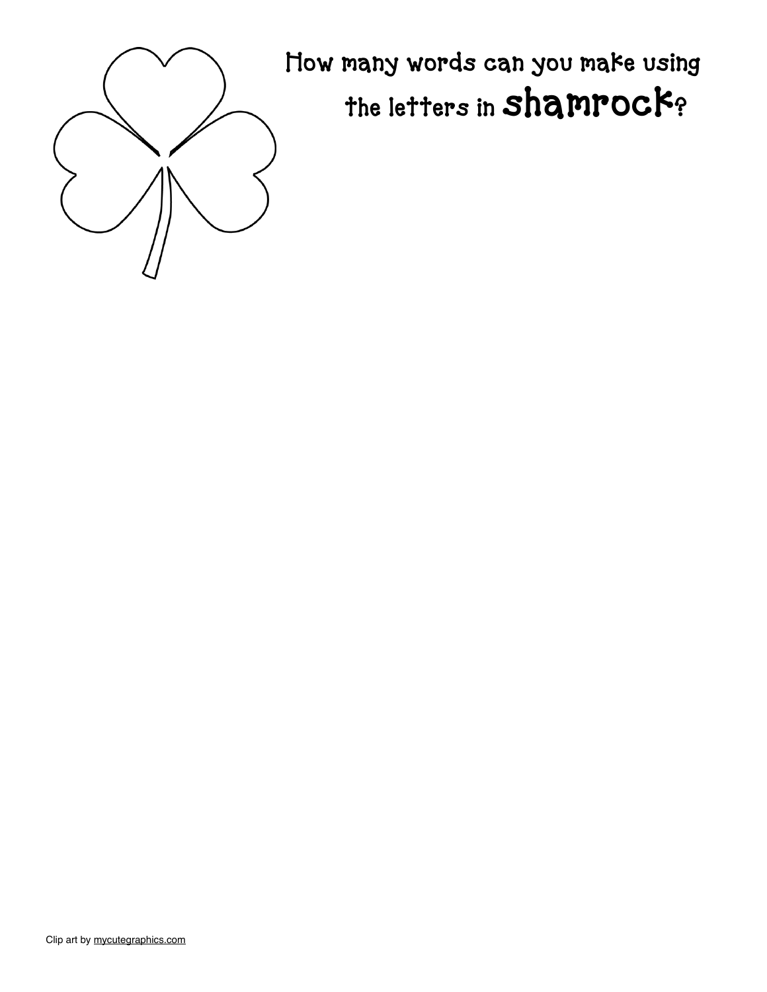

How many words can you make using the letters in shamrock?